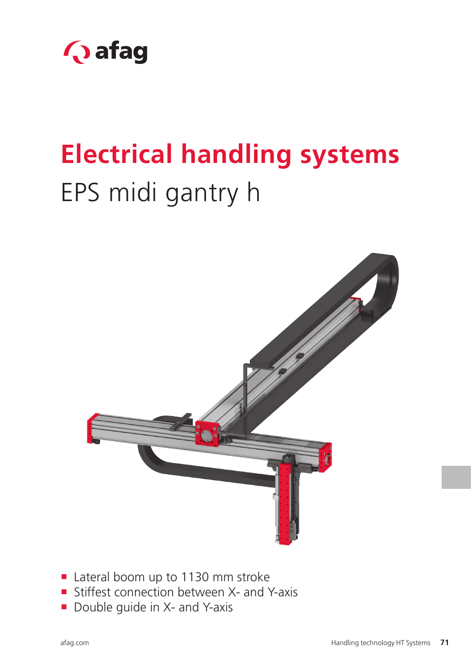

# **Electrical handling systems** EPS midi gantry h



- Lateral boom up to 1130 mm stroke
- Stiffest connection between X- and Y-axis
- Double guide in X- and Y-axis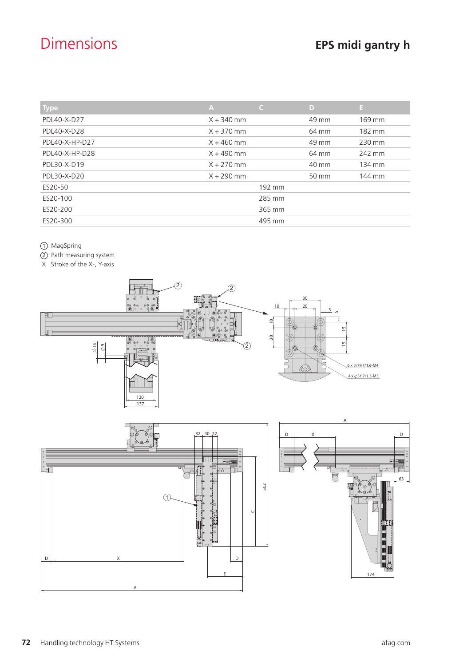# Dimensions **EPS midi gantry h**

| <b>Type</b>    | $\mathsf{A}$ | $\mathsf{C}$ | D     | Æ      |
|----------------|--------------|--------------|-------|--------|
| PDL40-X-D27    | $X + 340$ mm |              | 49 mm | 169 mm |
| PDL40-X-D28    | $X + 370$ mm |              | 64 mm | 182 mm |
| PDL40-X-HP-D27 | $X + 460$ mm |              | 49 mm | 230 mm |
| PDL40-X-HP-D28 | $X + 490$ mm |              | 64 mm | 242 mm |
| PDL30-X-D19    | $X + 270$ mm |              | 40 mm | 134 mm |
| PDL30-X-D20    | $X + 290$ mm |              | 50 mm | 144 mm |
| ES20-50        |              | 192 mm       |       |        |
| ES20-100       |              | 285 mm       |       |        |
| ES20-200       |              | 365 mm       |       |        |
| ES20-300       |              | 495 mm       |       |        |

1 MagSpring

- 2 Path measuring system
- X Stroke of the X-, Y-axis

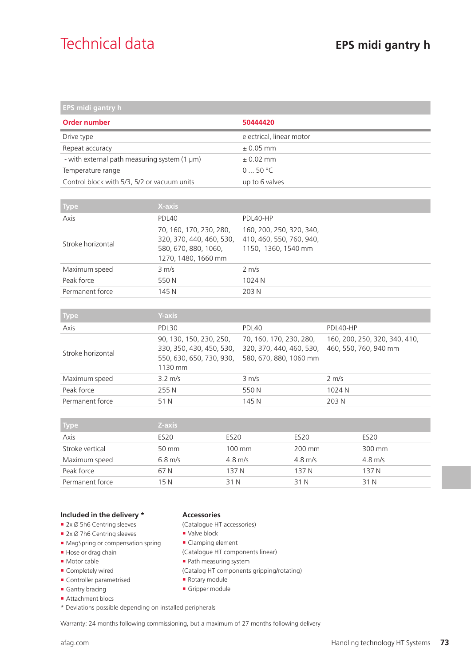## Technical data **EPS midi gantry h**

| EPS midi gantry h                                 |                          |  |
|---------------------------------------------------|--------------------------|--|
| Order number                                      | 50444420                 |  |
| Drive type                                        | electrical, linear motor |  |
| Repeat accuracy                                   | $\pm 0.05$ mm            |  |
| - with external path measuring system $(1 \mu m)$ | $\pm$ 0.02 mm            |  |
| Temperature range                                 | 050 °C                   |  |
| Control block with 5/3, 5/2 or vacuum units       | up to 6 valves           |  |

| <b>Type</b>       | X-axis                                                                                             |                                                                             |
|-------------------|----------------------------------------------------------------------------------------------------|-----------------------------------------------------------------------------|
| Axis              | PDL40                                                                                              | PDL40-HP                                                                    |
| Stroke horizontal | 70, 160, 170, 230, 280,<br>320, 370, 440, 460, 530,<br>580, 670, 880, 1060,<br>1270, 1480, 1660 mm | 160, 200, 250, 320, 340,<br>410, 460, 550, 760, 940,<br>1150, 1360, 1540 mm |
| Maximum speed     | $3 \, \text{m/s}$                                                                                  | $2 \text{ m/s}$                                                             |
| Peak force        | 550 N                                                                                              | 1024 N                                                                      |
| Permanent force   | 145 N                                                                                              | 203 N                                                                       |

| <b>Type</b>       | <b>Y-axis</b>                                                                              |                                                                               |                                                        |
|-------------------|--------------------------------------------------------------------------------------------|-------------------------------------------------------------------------------|--------------------------------------------------------|
| Axis              | PDL30                                                                                      | PDL40                                                                         | PDL40-HP                                               |
| Stroke horizontal | 90, 130, 150, 230, 250,<br>330, 350, 430, 450, 530,<br>550, 630, 650, 730, 930,<br>1130 mm | 70, 160, 170, 230, 280,<br>320, 370, 440, 460, 530,<br>580, 670, 880, 1060 mm | 160, 200, 250, 320, 340, 410,<br>460, 550, 760, 940 mm |
| Maximum speed     | $3.2 \text{ m/s}$                                                                          | $3 \text{ m/s}$                                                               | $2 \text{ m/s}$                                        |
| Peak force        | 255 N                                                                                      | 550N                                                                          | 1024 N                                                 |
| Permanent force   | 51 N                                                                                       | 145 N                                                                         | 203 N                                                  |

| <b>Type</b>     | Z-axis           |                  |                  |                      |
|-----------------|------------------|------------------|------------------|----------------------|
| Axis            | ES <sub>20</sub> | ES <sub>20</sub> | ES <sub>20</sub> | ES <sub>20</sub>     |
| Stroke vertical | 50 mm            | 100 mm           | 200 mm           | 300 mm               |
| Maximum speed   | $6.8$ m/s        | $4.8$ m/s        | $4.8$ m/s        | $4.8 \,\mathrm{m/s}$ |
| Peak force      | 67 N             | 137 N            | 137 N            | 137 N                |
| Permanent force | 15 N             | 31 N             | 31 N             | 31 N                 |

#### **Included in the delivery \***

- 2x Ø 5h6 Centring sleeves
- 2x Ø 7h6 Centring sleeves
- **MagSpring or compensation spring**
- Hose or drag chain
- **Motor cable**
- Completely wired
- Controller parametrised
- Gantry bracing
- Attachment blocs
- \* Deviations possible depending on installed peripherals

### **Accessories**

- (Catalogue HT accessories)
- Valve block
- **Clamping element**
- (Catalogue HT components linear)
- Path measuring system
- (Catalog HT components gripping/rotating)
- Rotary module
- Gripper module

Warranty: 24 months following commissioning, but a maximum of 27 months following delivery